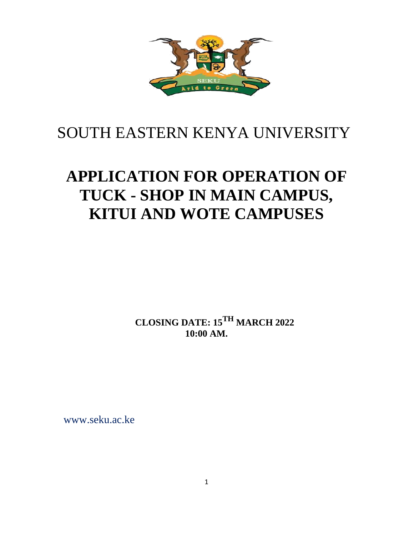

## SOUTH EASTERN KENYA UNIVERSITY

# **APPLICATION FOR OPERATION OF TUCK - SHOP IN MAIN CAMPUS, KITUI AND WOTE CAMPUSES**

**CLOSING DATE: 15TH MARCH 2022 10:00 AM.**

[www.seku.ac.ke](http://www.seku.a/)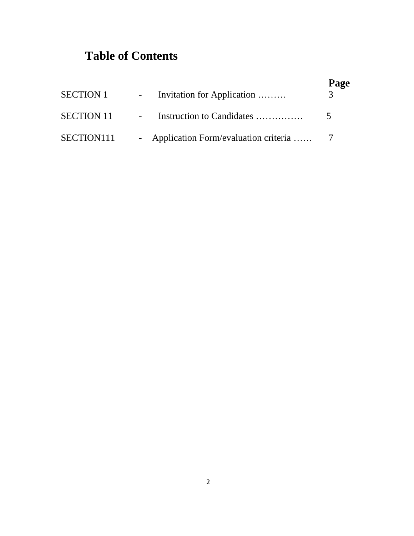## **Table of Contents**

|            | <b>SECTION 1</b> - Invitation for Application | Page |
|------------|-----------------------------------------------|------|
|            | <b>SECTION 11</b> - Instruction to Candidates | -5-  |
| SECTION111 | - Application Form/evaluation criteria  7     |      |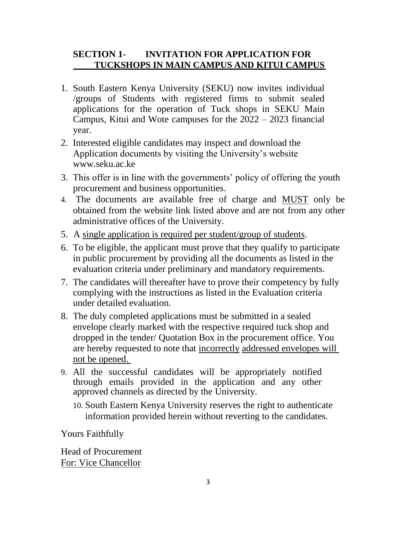### **SECTION 1- INVITATION FOR APPLICATION FOR TUCKSHOPS IN MAIN CAMPUS AND KITUI CAMPUS**

- 1. South Eastern Kenya University (SEKU) now invites individual /groups of Students with registered firms to submit sealed applications for the operation of Tuck shops in SEKU Main Campus, Kitui and Wote campuses for the 2022 – 2023 financial year.
- 2. Interested eligible candidates may inspect and download the Application documents by visiting the University's website www.seku.ac.ke
- 3. This offer is in line with the governments' policy of offering the youth procurement and business opportunities.
- 4. The documents are available free of charge and MUST only be obtained from the website link listed above and are not from any other administrative offices of the University.
- 5. A single application is required per student/group of students.
- 6. To be eligible, the applicant must prove that they qualify to participate in public procurement by providing all the documents as listed in the evaluation criteria under preliminary and mandatory requirements.
- 7. The candidates will thereafter have to prove their competency by fully complying with the instructions as listed in the Evaluation criteria under detailed evaluation.
- 8. The duly completed applications must be submitted in a sealed envelope clearly marked with the respective required tuck shop and dropped in the tender/ Quotation Box in the procurement office. You are hereby requested to note that incorrectly addressed envelopes will not be opened.
- 9. All the successful candidates will be appropriately notified through emails provided in the application and any other approved channels as directed by the University.
	- 10. South Eastern Kenya University reserves the right to authenticate information provided herein without reverting to the candidates.

Yours Faithfully

Head of Procurement For: Vice Chancellor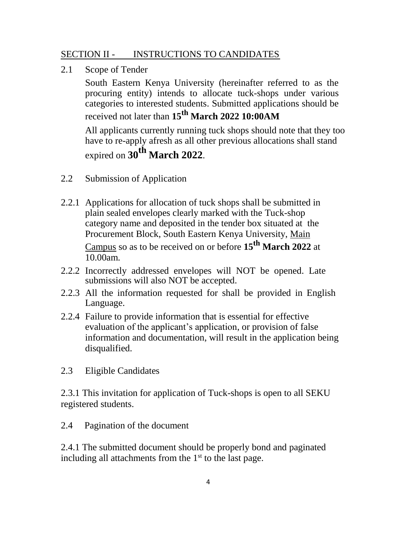#### SECTION II - INSTRUCTIONS TO CANDIDATES

2.1 Scope of Tender

South Eastern Kenya University (hereinafter referred to as the procuring entity) intends to allocate tuck-shops under various categories to interested students. Submitted applications should be received not later than **15th March 2022 10:00AM** 

All applicants currently running tuck shops should note that they too have to re-apply afresh as all other previous allocations shall stand

expired on **30 th March 2022**.

- 2.2 Submission of Application
- 2.2.1 Applications for allocation of tuck shops shall be submitted in plain sealed envelopes clearly marked with the Tuck-shop category name and deposited in the tender box situated at the Procurement Block, South Eastern Kenya University, Main Campus so as to be received on or before **15th March 2022** at 10.00am.
- 2.2.2 Incorrectly addressed envelopes will NOT be opened. Late submissions will also NOT be accepted.
- 2.2.3 All the information requested for shall be provided in English Language.
- 2.2.4 Failure to provide information that is essential for effective evaluation of the applicant's application, or provision of false information and documentation, will result in the application being disqualified.
- 2.3 Eligible Candidates

2.3.1 This invitation for application of Tuck-shops is open to all SEKU registered students.

2.4 Pagination of the document

2.4.1 The submitted document should be properly bond and paginated including all attachments from the  $1<sup>st</sup>$  to the last page.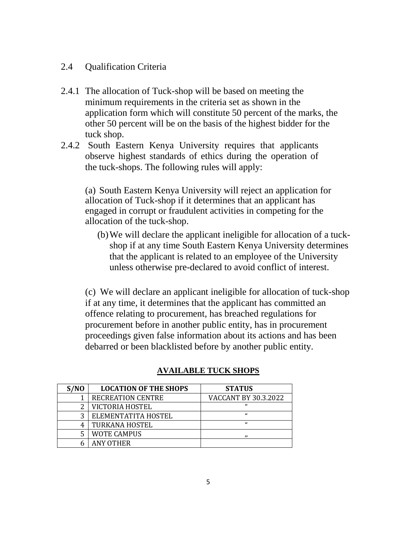#### 2.4 Qualification Criteria

- 2.4.1 The allocation of Tuck-shop will be based on meeting the minimum requirements in the criteria set as shown in the application form which will constitute 50 percent of the marks, the other 50 percent will be on the basis of the highest bidder for the tuck shop.
- 2.4.2 South Eastern Kenya University requires that applicants observe highest standards of ethics during the operation of the tuck-shops. The following rules will apply:

(a) South Eastern Kenya University will reject an application for allocation of Tuck-shop if it determines that an applicant has engaged in corrupt or fraudulent activities in competing for the allocation of the tuck-shop.

(b)We will declare the applicant ineligible for allocation of a tuckshop if at any time South Eastern Kenya University determines that the applicant is related to an employee of the University unless otherwise pre-declared to avoid conflict of interest.

(c) We will declare an applicant ineligible for allocation of tuck-shop if at any time, it determines that the applicant has committed an offence relating to procurement, has breached regulations for procurement before in another public entity, has in procurement proceedings given false information about its actions and has been debarred or been blacklisted before by another public entity.

| S/NO | <b>LOCATION OF THE SHOPS</b> | <b>STATUS</b>               |
|------|------------------------------|-----------------------------|
|      | <b>RECREATION CENTRE</b>     | <b>VACCANT BY 30.3.2022</b> |
|      | VICTORIA HOSTEL              | $\epsilon$                  |
|      | ELEMENTATITA HOSTEL          | $\epsilon$                  |
|      | TURKANA HOSTEL               | $\epsilon$                  |
|      | <b>WOTE CAMPUS</b>           | ,,                          |
|      | ANY OTHER                    |                             |

### **AVAILABLE TUCK SHOPS**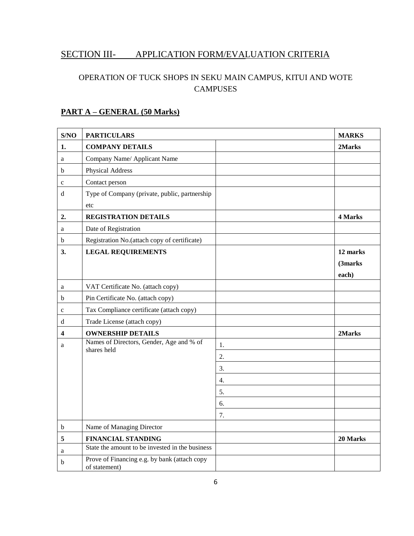## SECTION III- APPLICATION FORM/EVALUATION CRITERIA

### OPERATION OF TUCK SHOPS IN SEKU MAIN CAMPUS, KITUI AND WOTE **CAMPUSES**

#### **PART A – GENERAL (50 Marks)**

| S/NO        | <b>PARTICULARS</b>                                            |    | <b>MARKS</b> |
|-------------|---------------------------------------------------------------|----|--------------|
| 1.          | <b>COMPANY DETAILS</b>                                        |    | 2Marks       |
| a           | Company Name/ Applicant Name                                  |    |              |
| b           | Physical Address                                              |    |              |
| $\mathbf c$ | Contact person                                                |    |              |
| d           | Type of Company (private, public, partnership                 |    |              |
|             | etc                                                           |    |              |
| 2.          | <b>REGISTRATION DETAILS</b>                                   |    | 4 Marks      |
| $\rm{a}$    | Date of Registration                                          |    |              |
| b           | Registration No.(attach copy of certificate)                  |    |              |
| 3.          | <b>LEGAL REQUIREMENTS</b>                                     |    | 12 marks     |
|             |                                                               |    | (3marks)     |
|             |                                                               |    | each)        |
| a           | VAT Certificate No. (attach copy)                             |    |              |
| b           | Pin Certificate No. (attach copy)                             |    |              |
| $\mathbf c$ | Tax Compliance certificate (attach copy)                      |    |              |
| d           | Trade License (attach copy)                                   |    |              |
| 4           | <b>OWNERSHIP DETAILS</b>                                      |    | 2Marks       |
| a           | Names of Directors, Gender, Age and % of<br>shares held       | 1. |              |
|             |                                                               | 2. |              |
|             |                                                               | 3. |              |
|             |                                                               | 4. |              |
|             |                                                               | 5. |              |
|             |                                                               | 6. |              |
|             |                                                               | 7. |              |
| b           | Name of Managing Director                                     |    |              |
| 5           | <b>FINANCIAL STANDING</b>                                     |    | 20 Marks     |
| a           | State the amount to be invested in the business               |    |              |
| b           | Prove of Financing e.g. by bank (attach copy<br>of statement) |    |              |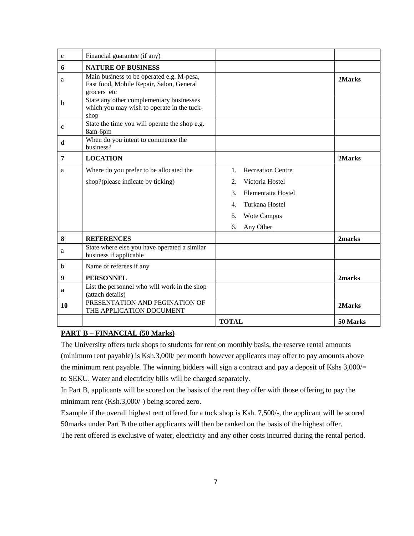| $\mathbf{C}$ | Financial guarantee (if any)                                                                         |                                                                                                                                                                 |          |
|--------------|------------------------------------------------------------------------------------------------------|-----------------------------------------------------------------------------------------------------------------------------------------------------------------|----------|
| 6            | <b>NATURE OF BUSINESS</b>                                                                            |                                                                                                                                                                 |          |
| a            | Main business to be operated e.g. M-pesa,<br>Fast food, Mobile Repair, Salon, General<br>grocers etc |                                                                                                                                                                 | 2Marks   |
| b            | State any other complementary businesses<br>which you may wish to operate in the tuck-<br>shop       |                                                                                                                                                                 |          |
| $\mathbf{C}$ | State the time you will operate the shop e.g.<br>8am-6pm                                             |                                                                                                                                                                 |          |
| d            | When do you intent to commence the<br>business?                                                      |                                                                                                                                                                 |          |
| 7            | <b>LOCATION</b>                                                                                      |                                                                                                                                                                 | 2Marks   |
| a            | Where do you prefer to be allocated the<br>shop?(please indicate by ticking)                         | <b>Recreation Centre</b><br>$1_{-}$<br>Victoria Hostel<br>2.<br>3.<br>Elementaita Hostel<br>Turkana Hostel<br>4.<br><b>Wote Campus</b><br>5.<br>Any Other<br>6. |          |
| 8            | <b>REFERENCES</b>                                                                                    |                                                                                                                                                                 | 2marks   |
| a            | State where else you have operated a similar<br>business if applicable                               |                                                                                                                                                                 |          |
| b            | Name of referees if any                                                                              |                                                                                                                                                                 |          |
| 9            | <b>PERSONNEL</b>                                                                                     |                                                                                                                                                                 | 2marks   |
| a            | List the personnel who will work in the shop<br>(attach details)                                     |                                                                                                                                                                 |          |
| 10           | PRESENTATION AND PEGINATION OF<br>THE APPLICATION DOCUMENT                                           |                                                                                                                                                                 | 2Marks   |
|              |                                                                                                      | <b>TOTAL</b>                                                                                                                                                    | 50 Marks |

#### **PART B – FINANCIAL (50 Marks)**

The University offers tuck shops to students for rent on monthly basis, the reserve rental amounts (minimum rent payable) is Ksh.3,000/ per month however applicants may offer to pay amounts above the minimum rent payable. The winning bidders will sign a contract and pay a deposit of Kshs 3,000/= to SEKU. Water and electricity bills will be charged separately.

In Part B, applicants will be scored on the basis of the rent they offer with those offering to pay the minimum rent (Ksh.3,000/-) being scored zero.

Example if the overall highest rent offered for a tuck shop is Ksh. 7,500/-, the applicant will be scored 50marks under Part B the other applicants will then be ranked on the basis of the highest offer.

The rent offered is exclusive of water, electricity and any other costs incurred during the rental period.